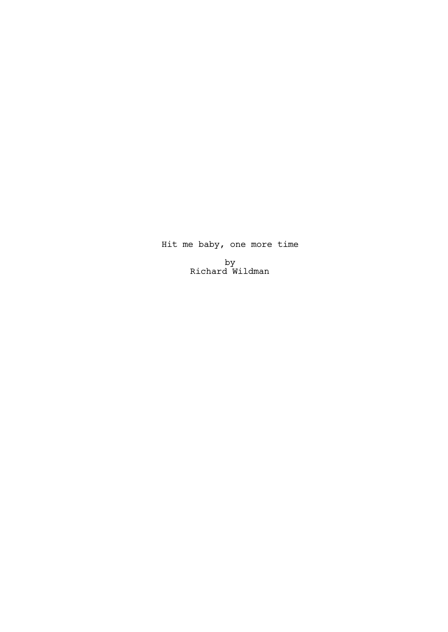# Hit me baby, one more time

by Richard Wildman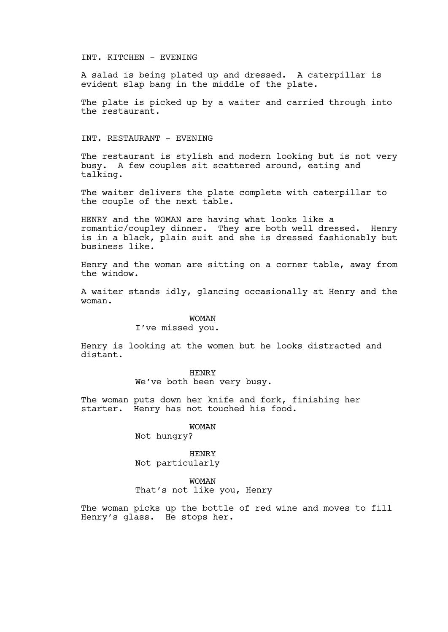#### INT. KITCHEN - EVENING

A salad is being plated up and dressed. A caterpillar is evident slap bang in the middle of the plate.

The plate is picked up by a waiter and carried through into the restaurant.

#### INT. RESTAURANT - EVENING

The restaurant is stylish and modern looking but is not very busy. A few couples sit scattered around, eating and talking.

The waiter delivers the plate complete with caterpillar to the couple of the next table.

HENRY and the WOMAN are having what looks like a romantic/coupley dinner. They are both well dressed. Henry is in a black, plain suit and she is dressed fashionably but business like.

Henry and the woman are sitting on a corner table, away from the window.

A waiter stands idly, glancing occasionally at Henry and the woman.

#### WOMAN

### I've missed you.

Henry is looking at the women but he looks distracted and distant.

> HENRY We've both been very busy.

The woman puts down her knife and fork, finishing her starter. Henry has not touched his food.

### WOMAN

Not hungry?

#### HENRY Not particularly

WOMAN

That's not like you, Henry

The woman picks up the bottle of red wine and moves to fill Henry's glass. He stops her.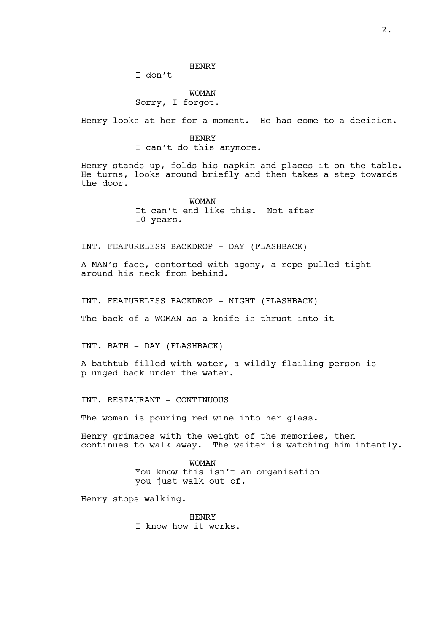I don't

## WOMAN Sorry, I forgot.

Henry looks at her for a moment. He has come to a decision.

HENRY I can't do this anymore.

Henry stands up, folds his napkin and places it on the table. He turns, looks around briefly and then takes a step towards the door.

> WOMAN It can't end like this. Not after 10 years.

INT. FEATURELESS BACKDROP - DAY (FLASHBACK)

A MAN's face, contorted with agony, a rope pulled tight around his neck from behind.

INT. FEATURELESS BACKDROP - NIGHT (FLASHBACK)

The back of a WOMAN as a knife is thrust into it

INT. BATH - DAY (FLASHBACK)

A bathtub filled with water, a wildly flailing person is plunged back under the water.

INT. RESTAURANT - CONTINUOUS

The woman is pouring red wine into her glass.

Henry grimaces with the weight of the memories, then continues to walk away. The waiter is watching him intently.

> WOMAN You know this isn't an organisation you just walk out of.

Henry stops walking.

HENRY I know how it works.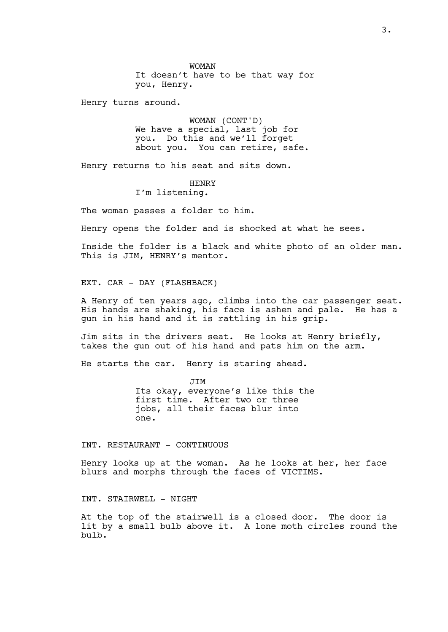WOMAN It doesn't have to be that way for you, Henry.

Henry turns around.

WOMAN (CONT'D) We have a special, last job for you. Do this and we'll forget about you. You can retire, safe.

Henry returns to his seat and sits down.

HENRY

I'm listening.

The woman passes a folder to him.

Henry opens the folder and is shocked at what he sees.

Inside the folder is a black and white photo of an older man. This is JIM, HENRY's mentor.

EXT. CAR - DAY (FLASHBACK)

A Henry of ten years ago, climbs into the car passenger seat. His hands are shaking, his face is ashen and pale. He has a gun in his hand and it is rattling in his grip.

Jim sits in the drivers seat. He looks at Henry briefly, takes the gun out of his hand and pats him on the arm.

He starts the car. Henry is staring ahead.

JIM Its okay, everyone's like this the first time. After two or three jobs, all their faces blur into one.

INT. RESTAURANT - CONTINUOUS

Henry looks up at the woman. As he looks at her, her face blurs and morphs through the faces of VICTIMS.

INT. STAIRWELL - NIGHT

At the top of the stairwell is a closed door. The door is lit by a small bulb above it. A lone moth circles round the bulb.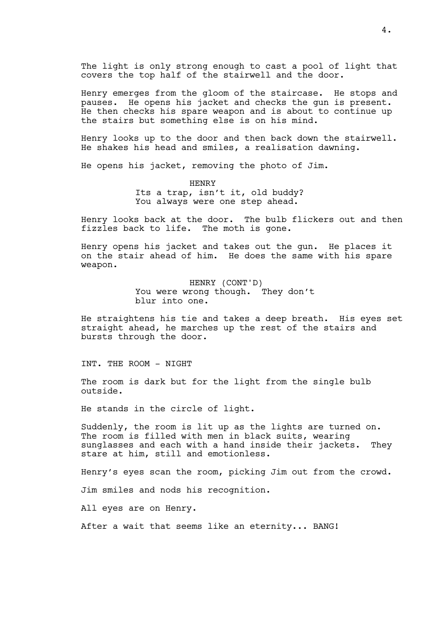The light is only strong enough to cast a pool of light that covers the top half of the stairwell and the door.

Henry emerges from the gloom of the staircase. He stops and pauses. He opens his jacket and checks the gun is present. He then checks his spare weapon and is about to continue up the stairs but something else is on his mind.

Henry looks up to the door and then back down the stairwell. He shakes his head and smiles, a realisation dawning.

He opens his jacket, removing the photo of Jim.

HENRY Its a trap, isn't it, old buddy? You always were one step ahead.

Henry looks back at the door. The bulb flickers out and then fizzles back to life. The moth is gone.

Henry opens his jacket and takes out the gun. He places it on the stair ahead of him. He does the same with his spare weapon.

> HENRY (CONT'D) You were wrong though. They don't blur into one.

He straightens his tie and takes a deep breath. His eyes set straight ahead, he marches up the rest of the stairs and bursts through the door.

INT. THE ROOM - NIGHT

The room is dark but for the light from the single bulb outside.

He stands in the circle of light.

Suddenly, the room is lit up as the lights are turned on. The room is filled with men in black suits, wearing sunglasses and each with a hand inside their jackets. They stare at him, still and emotionless.

Henry's eyes scan the room, picking Jim out from the crowd.

Jim smiles and nods his recognition.

All eyes are on Henry.

After a wait that seems like an eternity... BANG!